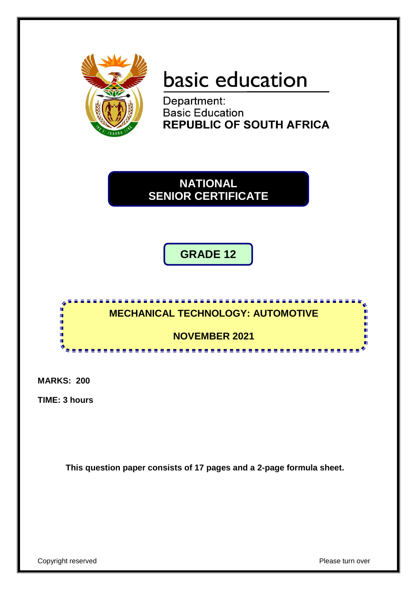

# basic education

Department: **Basic Education REPUBLIC OF SOUTH AFRICA** 

**NATIONAL SENIOR CERTIFICATE**

**GRADE 12**



**MARKS: 200**

**TIME: 3 hours**

**This question paper consists of 17 pages and a 2-page formula sheet.**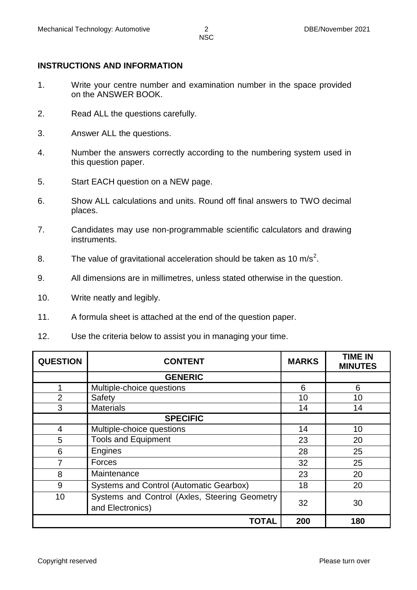### **INSTRUCTIONS AND INFORMATION**

- 1. Write your centre number and examination number in the space provided on the ANSWER BOOK.
- 2. Read ALL the questions carefully.
- 3. Answer ALL the questions.
- 4. Number the answers correctly according to the numbering system used in this question paper.
- 5. Start EACH question on a NEW page.
- 6. Show ALL calculations and units. Round off final answers to TWO decimal places.
- 7. Candidates may use non-programmable scientific calculators and drawing instruments.
- 8. The value of gravitational acceleration should be taken as 10 m/s<sup>2</sup>.
- 9. All dimensions are in millimetres, unless stated otherwise in the question.
- 10. Write neatly and legibly.
- 11. A formula sheet is attached at the end of the question paper.
- 12. Use the criteria below to assist you in managing your time.

| <b>QUESTION</b> | <b>CONTENT</b>                                                    | <b>MARKS</b> | <b>TIME IN</b><br><b>MINUTES</b> |
|-----------------|-------------------------------------------------------------------|--------------|----------------------------------|
|                 | <b>GENERIC</b>                                                    |              |                                  |
| 1               | Multiple-choice questions                                         | 6            | 6                                |
| $\overline{2}$  | Safety                                                            | 10           | 10                               |
| 3               | <b>Materials</b>                                                  | 14           | 14                               |
|                 | <b>SPECIFIC</b>                                                   |              |                                  |
| 4               | Multiple-choice questions                                         | 14           | 10                               |
| 5               | <b>Tools and Equipment</b>                                        | 23           | 20                               |
| 6               | Engines                                                           | 28           | 25                               |
| 7               | Forces                                                            | 32           | 25                               |
| 8               | Maintenance                                                       | 23           | 20                               |
| 9               | Systems and Control (Automatic Gearbox)                           | 18           | 20                               |
| 10              | Systems and Control (Axles, Steering Geometry<br>and Electronics) | 32           | 30                               |
|                 | <b>TOTAL</b>                                                      | 200          | 180                              |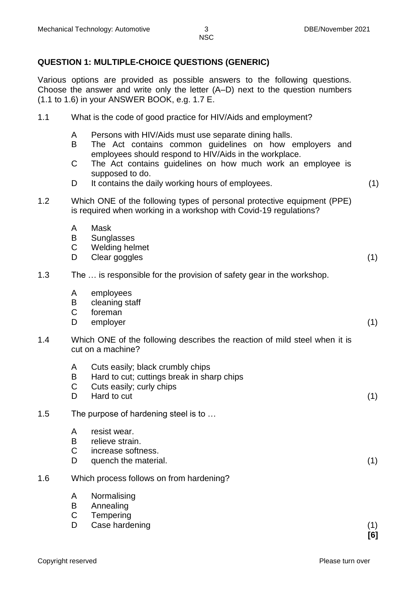#### **QUESTION 1: MULTIPLE-CHOICE QUESTIONS (GENERIC)**

Various options are provided as possible answers to the following questions. Choose the answer and write only the letter (A–D) next to the question numbers (1.1 to 1.6) in your ANSWER BOOK, e.g. 1.7 E.

|  | 1.1 | What is the code of good practice for HIV/Aids and employment? |
|--|-----|----------------------------------------------------------------|
|--|-----|----------------------------------------------------------------|

- A Persons with HIV/Aids must use separate dining halls.
- B The Act contains common guidelines on how employers and employees should respond to HIV/Aids in the workplace.
- $\mathcal{C}$ The Act contains guidelines on how much work an employee is supposed to do.
- D<sub>1</sub> It contains the daily working hours of employees. (1)
	-
- 1.2 Which ONE of the following types of personal protective equipment (PPE) is required when working in a workshop with Covid-19 regulations?
	- A Mask
	- B **Sunglasses**
	- C Welding helmet
	- D. Clear goggles (1) (1)

#### 1.3 The … is responsible for the provision of safety gear in the workshop.

- A employees
- B cleaning staff
- $\mathbf C$ foreman
- D. employer (1)
- 1.4 Which ONE of the following describes the reaction of mild steel when it is cut on a machine?
	- A Cuts easily; black crumbly chips
	- B Hard to cut; cuttings break in sharp chips
	- C Cuts easily; curly chips
	- D<sub>1</sub> Hard to cut (1)

#### 1.5 The purpose of hardening steel is to …

- A resist wear.
- B relieve strain.
- $\mathcal{C}$ increase softness.
- D. quench the material. (1)
- 1.6 Which process follows on from hardening?
	- A Normalising
	- B Annealing
	- $\mathcal{C}$ **Tempering**
	- D Case hardening (1) (1)

**[6]**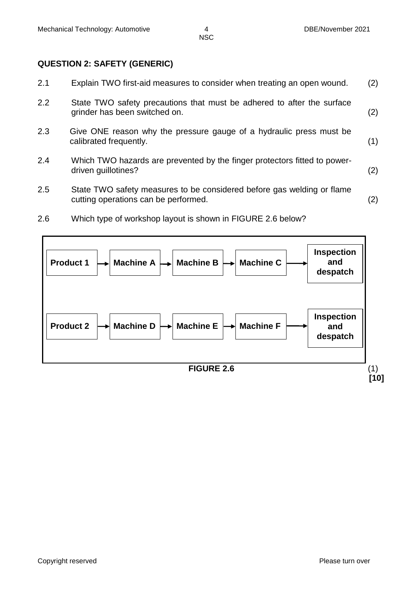#### **QUESTION 2: SAFETY (GENERIC)**

| 2.1 | Explain TWO first-aid measures to consider when treating an open wound.                                        | (2) |
|-----|----------------------------------------------------------------------------------------------------------------|-----|
| 2.2 | State TWO safety precautions that must be adhered to after the surface<br>grinder has been switched on.        | (2) |
| 2.3 | Give ONE reason why the pressure gauge of a hydraulic press must be<br>calibrated frequently.                  | (1) |
| 2.4 | Which TWO hazards are prevented by the finger protectors fitted to power-<br>driven guillotines?               | (2) |
| 2.5 | State TWO safety measures to be considered before gas welding or flame<br>cutting operations can be performed. | (2) |

2.6 Which type of workshop layout is shown in FIGURE 2.6 below?

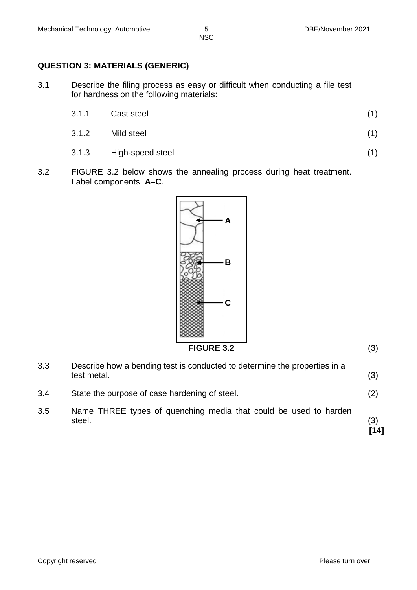## **QUESTION 3: MATERIALS (GENERIC)**

3.1 Describe the filing process as easy or difficult when conducting a file test for hardness on the following materials:

| 3.1.1 | Cast steel |  |
|-------|------------|--|
|       |            |  |

- 3.1.2 Mild steel (1)
- 3.1.3 High-speed steel (1)
- 3.2 FIGURE 3.2 below shows the annealing process during heat treatment. Label components **A**–**C**.



**FIGURE 3.2** (3)

| 3.3 | Describe how a bending test is conducted to determine the properties in a<br>test metal. | (3)         |
|-----|------------------------------------------------------------------------------------------|-------------|
| 3.4 | State the purpose of case hardening of steel.                                            | (2)         |
| 3.5 | Name THREE types of quenching media that could be used to harden<br>steel.               | (3)<br>[14] |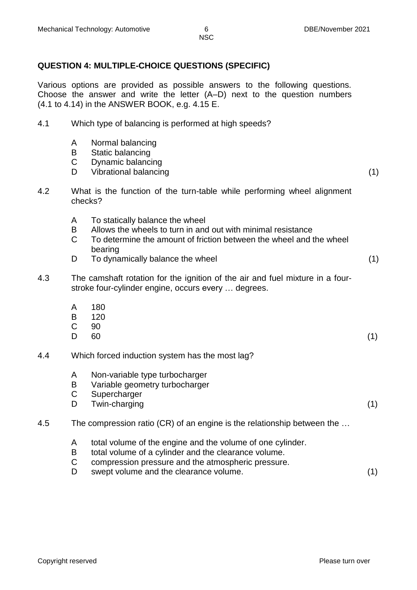#### **QUESTION 4: MULTIPLE-CHOICE QUESTIONS (SPECIFIC)**

Various options are provided as possible answers to the following questions. Choose the answer and write the letter (A–D) next to the question numbers (4.1 to 4.14) in the ANSWER BOOK, e.g. 4.15 E.

- 4.1 Which type of balancing is performed at high speeds?
	- A Normal balancing
	- B Static balancing
	- C Dynamic balancing
	- D<sub>1</sub> Vibrational balancing (1)
- 4.2 What is the function of the turn-table while performing wheel alignment checks?
	- A To statically balance the wheel
	- B Allows the wheels to turn in and out with minimal resistance
	- C To determine the amount of friction between the wheel and the wheel bearing
	- D<sub>1</sub> To dynamically balance the wheel (1)
- 4.3 The camshaft rotation for the ignition of the air and fuel mixture in a fourstroke four-cylinder engine, occurs every … degrees.
	- A 180
	- B 120
	- C 90
	- $\mathsf{D}$  $60$  (1)
- 4.4 Which forced induction system has the most lag?
	- A Non-variable type turbocharger
	- B Variable geometry turbocharger
	- C **Supercharger**
	- D<sub>1</sub> Twin-charging (1)

#### 4.5 The compression ratio (CR) of an engine is the relationship between the …

- A total volume of the engine and the volume of one cylinder.
- B total volume of a cylinder and the clearance volume.
- C compression pressure and the atmospheric pressure.
- D. swept volume and the clearance volume.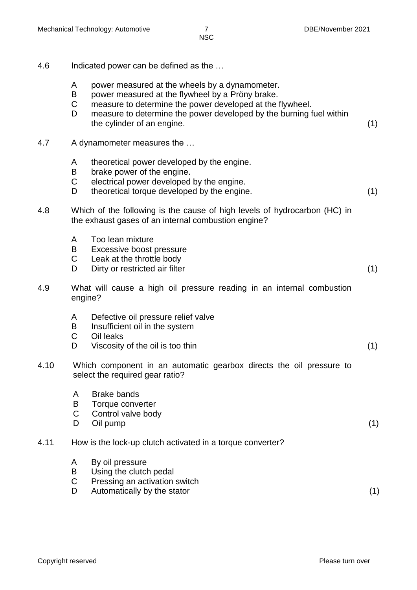| 4.6  | Indicated power can be defined as the |                                                                                                                                                                                                                                                                      |     |
|------|---------------------------------------|----------------------------------------------------------------------------------------------------------------------------------------------------------------------------------------------------------------------------------------------------------------------|-----|
|      | A<br>B<br>C<br>D                      | power measured at the wheels by a dynamometer.<br>power measured at the flywheel by a Pröny brake.<br>measure to determine the power developed at the flywheel.<br>measure to determine the power developed by the burning fuel within<br>the cylinder of an engine. | (1) |
| 4.7  |                                       | A dynamometer measures the                                                                                                                                                                                                                                           |     |
|      | A<br>B<br>C<br>D                      | theoretical power developed by the engine.<br>brake power of the engine.<br>electrical power developed by the engine.<br>theoretical torque developed by the engine.                                                                                                 | (1) |
| 4.8  |                                       | Which of the following is the cause of high levels of hydrocarbon (HC) in<br>the exhaust gases of an internal combustion engine?                                                                                                                                     |     |
|      | A<br>B<br>C<br>D                      | Too lean mixture<br>Excessive boost pressure<br>Leak at the throttle body<br>Dirty or restricted air filter                                                                                                                                                          | (1) |
| 4.9  | engine?                               | What will cause a high oil pressure reading in an internal combustion                                                                                                                                                                                                |     |
|      | A<br>B<br>C<br>D                      | Defective oil pressure relief valve<br>Insufficient oil in the system<br>Oil leaks<br>Viscosity of the oil is too thin                                                                                                                                               | (1) |
| 4.10 |                                       | Which component in an automatic gearbox directs the oil pressure to<br>select the required gear ratio?                                                                                                                                                               |     |
|      | A<br>B<br>C<br>D                      | <b>Brake bands</b><br>Torque converter<br>Control valve body<br>Oil pump                                                                                                                                                                                             | (1) |
| 4.11 |                                       | How is the lock-up clutch activated in a torque converter?                                                                                                                                                                                                           |     |
|      | A<br>B<br>$\mathsf C$<br>D            | By oil pressure<br>Using the clutch pedal<br>Pressing an activation switch<br>Automatically by the stator                                                                                                                                                            | (1) |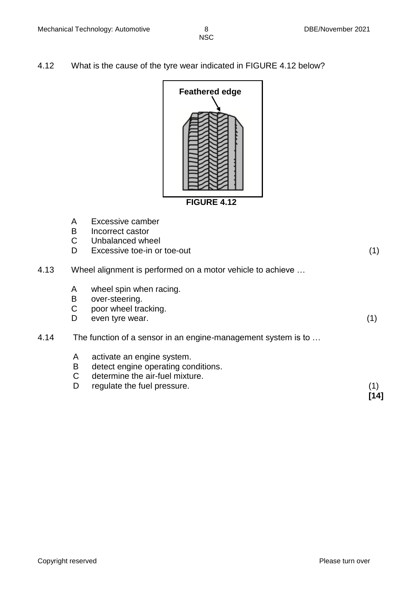4.12 What is the cause of the tyre wear indicated in FIGURE 4.12 below?



A B C D. Excessive camber Incorrect castor Unbalanced wheel Excessive toe-in or toe-out (1) 4.13 Wheel alignment is performed on a motor vehicle to achieve … A B C D wheel spin when racing. over-steering. poor wheel tracking. even tyre wear. (1) 4.14 The function of a sensor in an engine-management system is to … A B C D. activate an engine system. detect engine operating conditions. determine the air-fuel mixture. regulate the fuel pressure. (1) **[14]**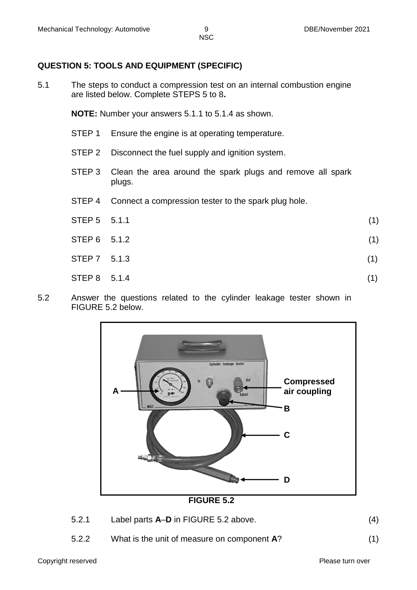#### **QUESTION 5: TOOLS AND EQUIPMENT (SPECIFIC)**

5.1 The steps to conduct a compression test on an internal combustion engine are listed below. Complete STEPS 5 to 8**.**

**NOTE:** Number your answers 5.1.1 to 5.1.4 as shown.

- STEP 1 Ensure the engine is at operating temperature.
- STEP 2 Disconnect the fuel supply and ignition system.
- STEP 3 Clean the area around the spark plugs and remove all spark plugs.
- STEP 4 Connect a compression tester to the spark plug hole.
- $STEP\ 5$  5.1.1 (1)  $STEP 6 5.1.2$  (1)
- $STEP 7 \t5.1.3$  (1)
- 
- $STEP 8$  5.1.4 (1)
- 5.2 Answer the questions related to the cylinder leakage tester shown in FIGURE 5.2 below.



**FIGURE 5.2**

- 5.2.1 Label parts **A**–**D** in FIGURE 5.2 above. (4)
- 5.2.2 What is the unit of measure on component **A**? (1)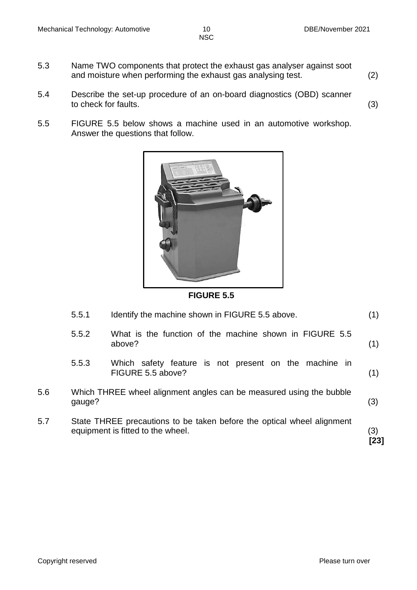- 5.3 Name TWO components that protect the exhaust gas analyser against soot and moisture when performing the exhaust gas analysing test. (2)
- 5.4 Describe the set-up procedure of an on-board diagnostics (OBD) scanner to check for faults.  $(3)$
- 5.5 FIGURE 5.5 below shows a machine used in an automotive workshop. Answer the questions that follow.



**FIGURE 5.5**

| 5.7 |        | State THREE precautions to be taken before the optical wheel alignment<br>equipment is fitted to the wheel. | (3)<br>[23] |
|-----|--------|-------------------------------------------------------------------------------------------------------------|-------------|
| 5.6 | gauge? | Which THREE wheel alignment angles can be measured using the bubble                                         | (3)         |
|     | 5.5.3  | Which safety feature is not present on the machine in<br>FIGURE 5.5 above?                                  | (1)         |
|     | 5.5.2  | What is the function of the machine shown in FIGURE 5.5<br>above?                                           | (1)         |
|     | 5.5.1  | Identify the machine shown in FIGURE 5.5 above.                                                             | (1)         |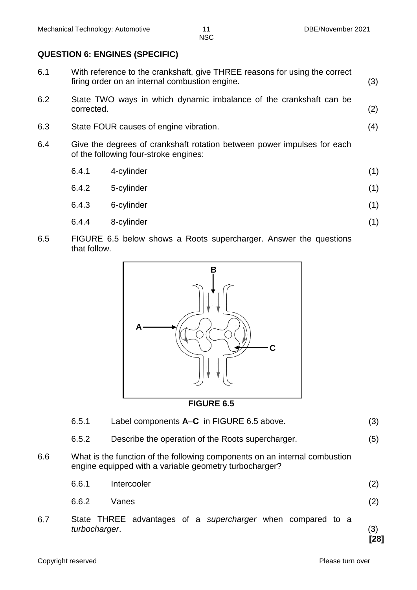#### **QUESTION 6: ENGINES (SPECIFIC)**

- 6.1 With reference to the crankshaft, give THREE reasons for using the correct firing order on an internal combustion engine. (3) 6.2 State TWO ways in which dynamic imbalance of the crankshaft can be
- corrected. (2) 6.3 State FOUR causes of engine vibration. (4)
	-
- 6.4 Give the degrees of crankshaft rotation between power impulses for each of the following four-stroke engines:
	- 6.4.1 4-cylinder (1) 6.4.2 5-cylinder (1)
	- 6.4.3 6-cylinder (1)
	- 6.4.4 8-cylinder (1)
- 6.5 FIGURE 6.5 below shows a Roots supercharger. Answer the questions that follow.



#### **FIGURE 6.5**

6.5.1 Label components **A**–**C** in FIGURE 6.5 above. (3) 6.5.2 Describe the operation of the Roots supercharger. (5) 6.6 What is the function of the following components on an internal combustion engine equipped with a variable geometry turbocharger? 6.6.1 Intercooler (2) 6.6.2 Vanes (2) 6.7 State THREE advantages of a *supercharger* when compared to a *turbocharger*. (3) **[28]**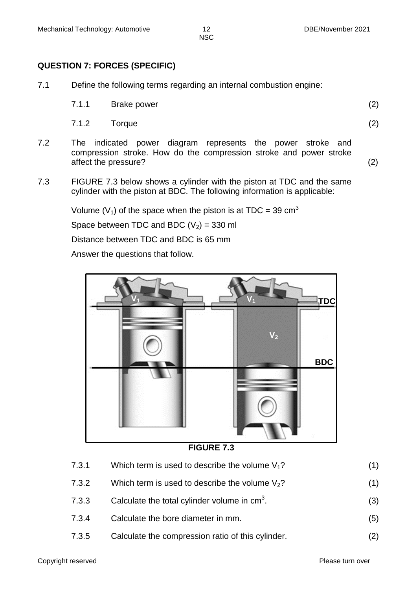#### **QUESTION 7: FORCES (SPECIFIC)**

- 7.1 Define the following terms regarding an internal combustion engine:
	- 7.1.1 Brake power (2)

7.1.2 Torque (2)

- 7.2 The indicated power diagram represents the power stroke and compression stroke. How do the compression stroke and power stroke affect the pressure? (2)
- 7.3 FIGURE 7.3 below shows a cylinder with the piston at TDC and the same cylinder with the piston at BDC. The following information is applicable:

Volume ( $V_1$ ) of the space when the piston is at TDC = 39 cm<sup>3</sup>

Space between TDC and BDC  $(V_2)$  = 330 ml

Distance between TDC and BDC is 65 mm

Answer the questions that follow.



**FIGURE 7.3**

| 7.3.1 | Which term is used to describe the volume $V_1$ ? |  |
|-------|---------------------------------------------------|--|
|       |                                                   |  |

- 7.3.2 Which term is used to describe the volume  $V_2$ ? (1)
- 7.3.3 Calculate the total cylinder volume in  $cm<sup>3</sup>$ . .  $(3)$
- 7.3.4 Calculate the bore diameter in mm. (5)
- 7.3.5 Calculate the compression ratio of this cylinder. (2)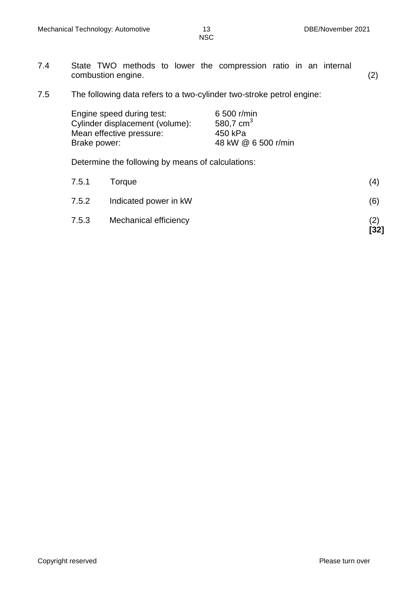- 7.4 State TWO methods to lower the compression ratio in an internal combustion engine. (2)
- 7.5 The following data refers to a two-cylinder two-stroke petrol engine:

| 6 500 r/min         |
|---------------------|
| 580,7 $cm3$         |
| 450 kPa             |
| 48 kW @ 6 500 r/min |
|                     |

Determine the following by means of calculations:

| 7.5.3 | Mechanical efficiency | (2)<br>$[32]$ |
|-------|-----------------------|---------------|
| 7.5.2 | Indicated power in kW | (6)           |
| 7.5.1 | Torque                | (4)           |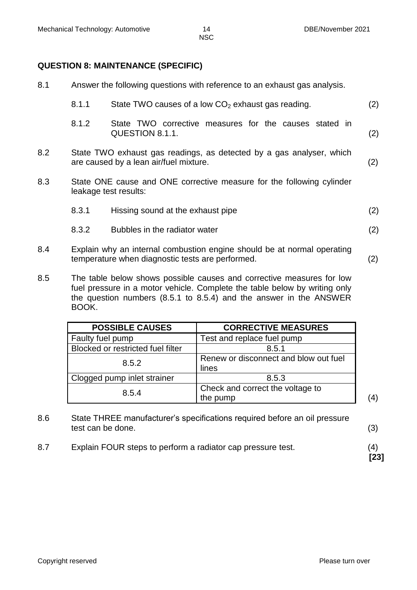8.1 Answer the following questions with reference to an exhaust gas analysis.

#### **QUESTION 8: MAINTENANCE (SPECIFIC)**

|     | 8.1.1 | State TWO causes of a low $CO2$ exhaust gas reading.                                                                        | (2) |
|-----|-------|-----------------------------------------------------------------------------------------------------------------------------|-----|
|     | 8.1.2 | State TWO corrective measures for the causes stated in<br>QUESTION 8.1.1.                                                   | (2) |
| 8.2 |       | State TWO exhaust gas readings, as detected by a gas analyser, which<br>are caused by a lean air/fuel mixture.              | (2) |
| 8.3 |       | State ONE cause and ONE corrective measure for the following cylinder<br>leakage test results:                              |     |
|     | 8.3.1 | Hissing sound at the exhaust pipe                                                                                           | (2) |
|     | 8.3.2 | Bubbles in the radiator water                                                                                               | (2) |
| 8.4 |       | Explain why an internal combustion engine should be at normal operating<br>temperature when diagnostic tests are performed. | (2) |
| Q E |       | The table below shows pessible causes and corrective measures for low                                                       |     |

8.5 The table below shows possible causes and corrective measures for low fuel pressure in a motor vehicle. Complete the table below by writing only the question numbers (8.5.1 to 8.5.4) and the answer in the ANSWER BOOK.

| <b>POSSIBLE CAUSES</b>            | <b>CORRECTIVE MEASURES</b>                     |  |
|-----------------------------------|------------------------------------------------|--|
| Faulty fuel pump                  | Test and replace fuel pump                     |  |
| Blocked or restricted fuel filter | 8.5.1                                          |  |
| 8.5.2                             | Renew or disconnect and blow out fuel<br>lines |  |
| Clogged pump inlet strainer       | 8.5.3                                          |  |
| 8.5.4                             | Check and correct the voltage to<br>the pump   |  |

- 8.6 State THREE manufacturer's specifications required before an oil pressure test can be done. (3)
- 8.7 Explain FOUR steps to perform a radiator cap pressure test. (4)

**[23]**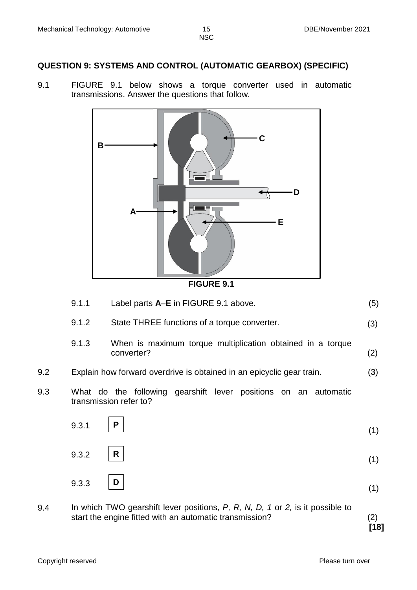#### **QUESTION 9: SYSTEMS AND CONTROL (AUTOMATIC GEARBOX) (SPECIFIC)**

9.1 FIGURE 9.1 below shows a torque converter used in automatic transmissions. Answer the questions that follow.





| 9.1.1 | Label parts A-E in FIGURE 9.1 above. |  |
|-------|--------------------------------------|--|
|-------|--------------------------------------|--|

- 9.1.2 State THREE functions of a torque converter. (3)
- 9.1.3 When is maximum torque multiplication obtained in a torque converter? (2)



9.3 What do the following gearshift lever positions on an automatic transmission refer to?

| 9.3.1 $ P $ | (1) |
|-------------|-----|
| 9.3.2 $ R $ | (1) |
| 9.3.3 $ D $ |     |

9.4 In which TWO gearshift lever positions, *P, R, N, D, 1* or *2,* is it possible to start the engine fitted with an automatic transmission? (2)

**[18]**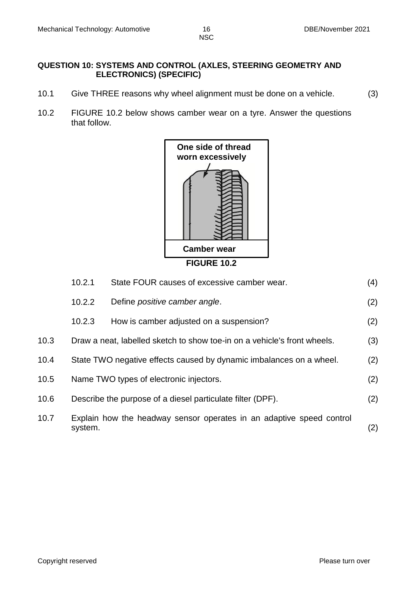#### **QUESTION 10: SYSTEMS AND CONTROL (AXLES, STEERING GEOMETRY AND ELECTRONICS) (SPECIFIC)**

- 10.1 Give THREE reasons why wheel alignment must be done on a vehicle. (3)
- 10.2 FIGURE 10.2 below shows camber wear on a tyre. Answer the questions that follow.



|      | 10.2.1                                                              | State FOUR causes of excessive camber wear.                              | (4) |
|------|---------------------------------------------------------------------|--------------------------------------------------------------------------|-----|
|      | 10.2.2                                                              | Define positive camber angle.                                            | (2) |
|      | 10.2.3                                                              | How is camber adjusted on a suspension?                                  | (2) |
| 10.3 |                                                                     | Draw a neat, labelled sketch to show toe-in on a vehicle's front wheels. | (3) |
| 10.4 | State TWO negative effects caused by dynamic imbalances on a wheel. |                                                                          |     |
| 10.5 | Name TWO types of electronic injectors.                             |                                                                          |     |
| 10.6 |                                                                     | Describe the purpose of a diesel particulate filter (DPF).               | (2) |
| 10.7 | system.                                                             | Explain how the headway sensor operates in an adaptive speed control     | (2) |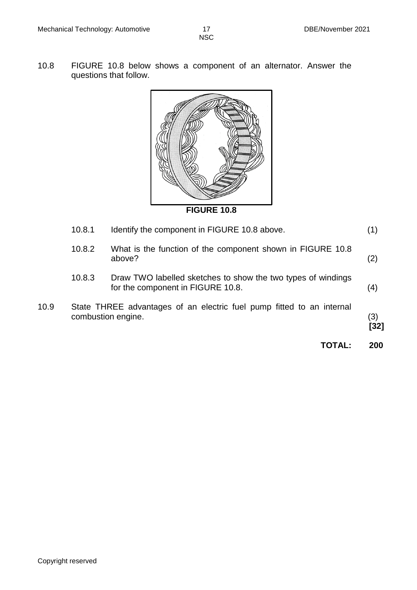10.8 FIGURE 10.8 below shows a component of an alternator. Answer the questions that follow.



**FIGURE 10.8**

|      |        | <b>TOTAL:</b>                                                                                     | 200           |
|------|--------|---------------------------------------------------------------------------------------------------|---------------|
| 10.9 |        | State THREE advantages of an electric fuel pump fitted to an internal<br>combustion engine.       | (3)<br>$[32]$ |
|      | 10.8.3 | Draw TWO labelled sketches to show the two types of windings<br>for the component in FIGURE 10.8. | (4)           |
|      | 10.8.2 | What is the function of the component shown in FIGURE 10.8<br>above?                              | (2)           |
|      | 10.8.1 | Identify the component in FIGURE 10.8 above.                                                      | (1)           |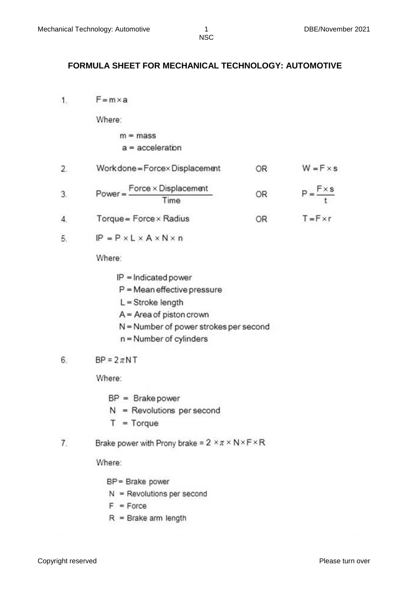#### **FORMULA SHEET FOR MECHANICAL TECHNOLOGY: AUTOMOTIVE**

 $F = m \times a$  $1$ 

Where:

#### $m = mass$  $a = acceleration$

- $W = F \times s$  $2.$ Work done = Forcex Displacement OR  $Power = \frac{Force \times Displacement}{Time}$  $P = \frac{F \times s}{t}$  $3.$ OR
- $4.$ Torque = Force × Radius OR.  $T = F \times r$
- $IP = P \times L \times A \times N \times n$ 5

Where:

- $IP = Indicated power$
- $P = Mean$  effective pressure
- $L =$ Stroke length
- $A = Area of piston crown$
- N = Number of power strokes per second
- n = Number of cylinders

#### $BP = 2\pi NT$ 6.

Where:

- $BP = Brake power$
- $N =$  Revolutions per second
- $T = Torque$
- Brake power with Prony brake =  $2 \times \pi \times N \times F \times R$  $\overline{7}$

Where:

- BP = Brake power
- $N =$  Revolutions per second
- $F = Force$
- $R =$  Brake arm length